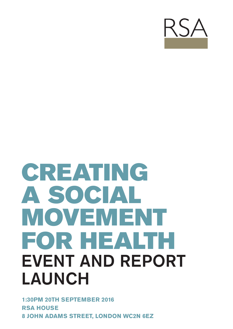

# CREATING A SOCIAL MOVEMENT FOR HEALTH EVENT AND REPORT LAUNCH

**1:30PM 20TH SEPTEMBER 2016 RSA HOUSE 8 JOHN ADAMS STREET, LONDON WC2N 6EZ**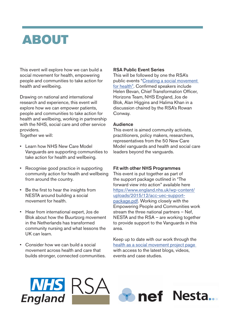### ABOUT

This event will explore how we can build a social movement for health, empowering people and communities to take action for health and wellbeing.

Drawing on national and international research and experience, this event will explore how we can empower patients, people and communities to take action for health and wellbeing, working in partnership with the NHS, social care and other service providers.

Together we will:

- Learn how NHS New Care Model Vanguards are supporting communities to take action for health and wellbeing.
- Recognise good practice in supporting community action for health and wellbeing from around the country.
- Be the first to hear the insights from NESTA around building a social movement for health.
- Hear from international expert, Jos de Blok about how the Buurtzorg movement in the Netherlands has transformed community nursing and what lessons the UK can learn.
- Consider how we can build a social movement across health and care that builds stronger, connected communities.

#### RSA Public Event Series

This will be followed by one the RSA's public events "Creating a social movement for health". Confirmed speakers include Helen Bevan, Chief Transformation Officer, Horizons Team, NHS England, Jos de Blok, Alan Higgins and Halima Khan in a discussion chaired by the RSA's Rowan Conway.

#### **Audience**

This event is aimed community activists, practitioners, policy makers, researchers, representatives from the 50 New Care Model vanguards and health and social care leaders beyond the vanguards.

#### Fit with other NHS Programmes

This event is put together as part of the support package outlined in "The forward view into action" available here https://www.england.nhs.uk/wp-content/ uploads/2015/12/acc-uec-supportpackage.pdf. Working closely with the Empowering People and Communities work stream the three national partners – Nef, NESTA and the RSA – are working together to provide support to the Vanguards in this area.

Keep up to date with our work through the health as a social movement project page with access to the latest blogs, videos, events and case studies.

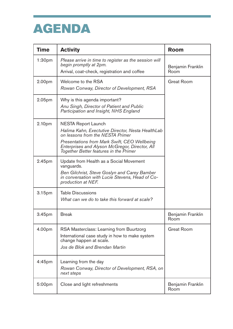### AGENDA

| <b>Time</b>        | <b>Activity</b>                                                                                                                                                                                                                                                 | <b>Room</b>               |
|--------------------|-----------------------------------------------------------------------------------------------------------------------------------------------------------------------------------------------------------------------------------------------------------------|---------------------------|
| 1:30 <sub>pm</sub> | Please arrive in time to register as the session will<br>begin promptly at 2pm.<br>Arrival, coat-check, registration and coffee                                                                                                                                 | Benjamin Franklin<br>Room |
| 2.00pm             | Welcome to the RSA<br>Rowan Conway, Director of Development, RSA                                                                                                                                                                                                | <b>Great Room</b>         |
| 2.05 <sub>pm</sub> | Why is this agenda important?<br>Anu Singh, Director of Patient and Public<br>Participation and Insight, NHS England                                                                                                                                            |                           |
| 2.10pm             | <b>NESTA Report Launch</b><br>Halima Kahn, Exectutive Director, Nesta HealthLab<br>on lessons from the NESTA Primer<br>Presentations from Mark Swift, CEO Wellbeing<br>Enterprises and Alyson McGregor, Director, All<br>Together Better features in the Primer |                           |
| 2.45pm             | Update from Health as a Social Movement<br>vanguards.<br>Ben Gilchrist, Steve Goslyn and Carey Bamber<br>in conversation with Lucie Stevens, Head of Co-<br>production at NEF.                                                                                  |                           |
| 3.15pm             | <b>Table Discussions</b><br>What can we do to take this forward at scale?                                                                                                                                                                                       |                           |
| 3.45pm             | <b>Break</b>                                                                                                                                                                                                                                                    | Benjamin Franklin<br>Room |
| 4.00pm             | RSA Masterclass: Learning from Buurtzorg<br>International case study in how to make system<br>change happen at scale.<br>Jos de Blok and Brendan Martin                                                                                                         | <b>Great Room</b>         |
| $4:45$ pm          | Learning from the day<br>Rowan Conway, Director of Development, RSA, on<br>next steps                                                                                                                                                                           |                           |
| 5:00pm             | Close and light refreshments                                                                                                                                                                                                                                    | Benjamin Franklin<br>Room |